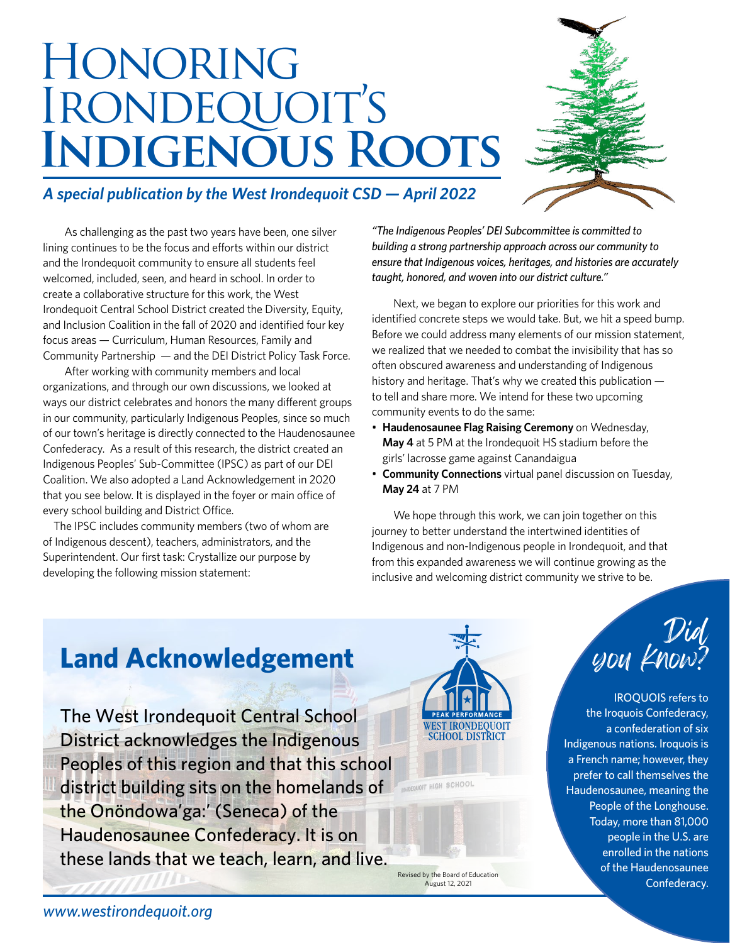# **HONORING** IRONDEQUOIT'S **Indigenous Roots**



#### *A special publication by the West Irondequoit CSD — April 2022*

 As challenging as the past two years have been, one silver lining continues to be the focus and efforts within our district and the Irondequoit community to ensure all students feel welcomed, included, seen, and heard in school. In order to create a collaborative structure for this work, the West Irondequoit Central School District created the Diversity, Equity, and Inclusion Coalition in the fall of 2020 and identified four key focus areas — Curriculum, Human Resources, Family and Community Partnership — and the DEI District Policy Task Force.

 After working with community members and local organizations, and through our own discussions, we looked at ways our district celebrates and honors the many different groups in our community, particularly Indigenous Peoples, since so much of our town's heritage is directly connected to the Haudenosaunee Confederacy. As a result of this research, the district created an Indigenous Peoples' Sub-Committee (IPSC) as part of our DEI Coalition. We also adopted a Land Acknowledgement in 2020 that you see below. It is displayed in the foyer or main office of every school building and District Office.

The IPSC includes community members (two of whom are of Indigenous descent), teachers, administrators, and the Superintendent. Our first task: Crystallize our purpose by developing the following mission statement:

*"The Indigenous Peoples' DEI Subcommittee is committed to building a strong partnership approach across our community to ensure that Indigenous voices, heritages, and histories are accurately taught, honored, and woven into our district culture."*

 Next, we began to explore our priorities for this work and identified concrete steps we would take. But, we hit a speed bump. Before we could address many elements of our mission statement, we realized that we needed to combat the invisibility that has so often obscured awareness and understanding of Indigenous history and heritage. That's why we created this publication to tell and share more. We intend for these two upcoming community events to do the same:

- **Haudenosaunee Flag Raising Ceremony** on Wednesday, **May 4** at 5 PM at the Irondequoit HS stadium before the girls' lacrosse game against Canandaigua
- **Community Connections** virtual panel discussion on Tuesday, **May 24** at 7 PM

 We hope through this work, we can join together on this journey to better understand the intertwined identities of Indigenous and non-Indigenous people in Irondequoit, and that from this expanded awareness we will continue growing as the inclusive and welcoming district community we strive to be.

# **Land Acknowledgement**

The West Irondequoit Central School District acknowledges the Indigenous Peoples of this region and that this school district building sits on the homelands of the Onöndowa'ga:' (Seneca) of the Haudenosaunee Confederacy. It is on these lands that we teach, learn, and live.



Revised by the Board of Education August 12, 2021



IROQUOIS refers to the Iroquois Confederacy, a confederation of six Indigenous nations. Iroquois is a French name; however, they prefer to call themselves the Haudenosaunee, meaning the People of the Longhouse. Today, more than 81,000 people in the U.S. are enrolled in the nations of the Haudenosaunee Confederacy.

*www.westirondequoit.org*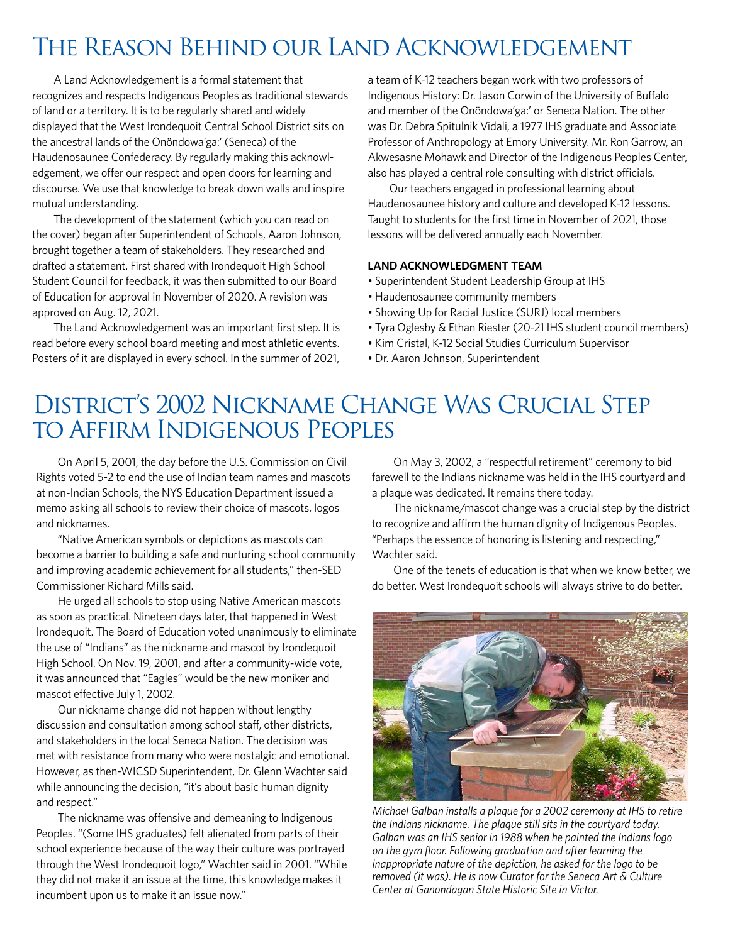# The Reason Behind our Land Acknowledgement

A Land Acknowledgement is a formal statement that recognizes and respects Indigenous Peoples as traditional stewards of land or a territory. It is to be regularly shared and widely displayed that the West Irondequoit Central School District sits on the ancestral lands of the Onöndowa'ga:' (Seneca) of the Haudenosaunee Confederacy. By regularly making this acknowledgement, we offer our respect and open doors for learning and discourse. We use that knowledge to break down walls and inspire mutual understanding.

The development of the statement (which you can read on the cover) began after Superintendent of Schools, Aaron Johnson, brought together a team of stakeholders. They researched and drafted a statement. First shared with Irondequoit High School Student Council for feedback, it was then submitted to our Board of Education for approval in November of 2020. A revision was approved on Aug. 12, 2021.

The Land Acknowledgement was an important first step. It is read before every school board meeting and most athletic events. Posters of it are displayed in every school. In the summer of 2021,

a team of K-12 teachers began work with two professors of Indigenous History: Dr. Jason Corwin of the University of Buffalo and member of the Onöndowa'ga:' or Seneca Nation. The other was Dr. Debra Spitulnik Vidali, a 1977 IHS graduate and Associate Professor of Anthropology at Emory University. Mr. Ron Garrow, an Akwesasne Mohawk and Director of the Indigenous Peoples Center, also has played a central role consulting with district officials.

Our teachers engaged in professional learning about Haudenosaunee history and culture and developed K-12 lessons. Taught to students for the first time in November of 2021, those lessons will be delivered annually each November.

#### **LAND ACKNOWLEDGMENT TEAM**

- Superintendent Student Leadership Group at IHS
- Haudenosaunee community members
- Showing Up for Racial Justice (SURJ) local members
- Tyra Oglesby & Ethan Riester (20-21 IHS student council members)
- Kim Cristal, K-12 Social Studies Curriculum Supervisor
- Dr. Aaron Johnson, Superintendent

## District's 2002 Nickname Change Was Crucial Step to Affirm Indigenous Peoples

On April 5, 2001, the day before the U.S. Commission on Civil Rights voted 5-2 to end the use of Indian team names and mascots at non-Indian Schools, the NYS Education Department issued a memo asking all schools to review their choice of mascots, logos and nicknames.

"Native American symbols or depictions as mascots can become a barrier to building a safe and nurturing school community and improving academic achievement for all students," then-SED Commissioner Richard Mills said.

He urged all schools to stop using Native American mascots as soon as practical. Nineteen days later, that happened in West Irondequoit. The Board of Education voted unanimously to eliminate the use of "Indians" as the nickname and mascot by Irondequoit High School. On Nov. 19, 2001, and after a community-wide vote, it was announced that "Eagles" would be the new moniker and mascot effective July 1, 2002.

Our nickname change did not happen without lengthy discussion and consultation among school staff, other districts, and stakeholders in the local Seneca Nation. The decision was met with resistance from many who were nostalgic and emotional. However, as then-WICSD Superintendent, Dr. Glenn Wachter said while announcing the decision, "it's about basic human dignity and respect."

The nickname was offensive and demeaning to Indigenous Peoples. "(Some IHS graduates) felt alienated from parts of their school experience because of the way their culture was portrayed through the West Irondequoit logo," Wachter said in 2001. "While they did not make it an issue at the time, this knowledge makes it incumbent upon us to make it an issue now."

On May 3, 2002, a "respectful retirement" ceremony to bid farewell to the Indians nickname was held in the IHS courtyard and a plaque was dedicated. It remains there today.

The nickname/mascot change was a crucial step by the district to recognize and affirm the human dignity of Indigenous Peoples. "Perhaps the essence of honoring is listening and respecting," Wachter said.

One of the tenets of education is that when we know better, we do better. West Irondequoit schools will always strive to do better.



*Michael Galban installs a plaque for a 2002 ceremony at IHS to retire the Indians nickname. The plaque still sits in the courtyard today. Galban was an IHS senior in 1988 when he painted the Indians logo on the gym floor. Following graduation and after learning the inappropriate nature of the depiction, he asked for the logo to be removed (it was). He is now Curator for the Seneca Art & Culture Center at Ganondagan State Historic Site in Victor.*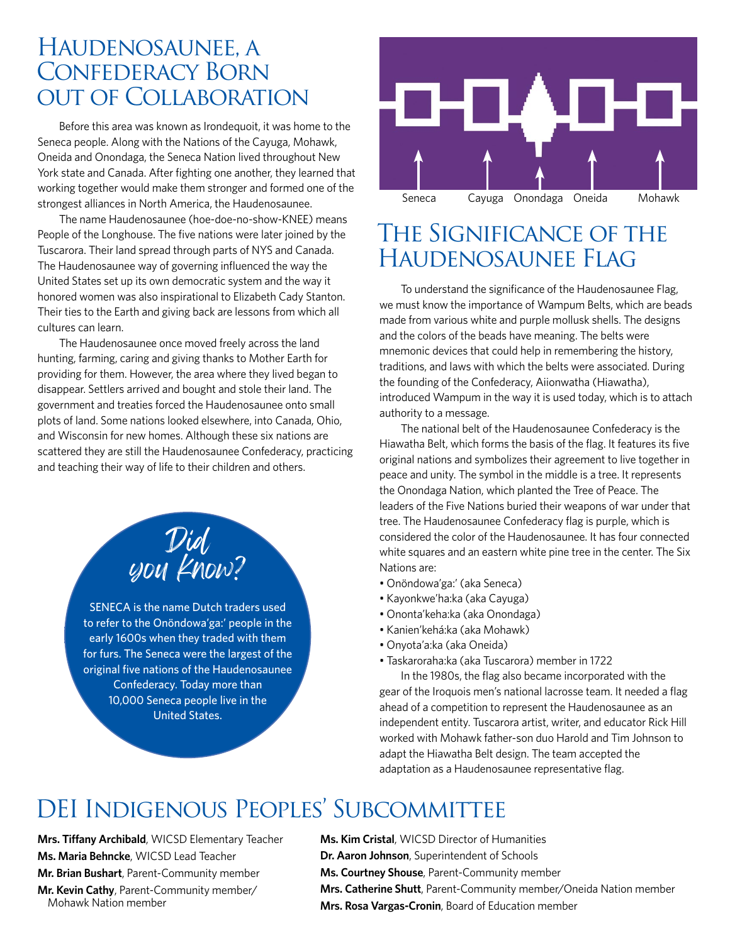#### Haudenosaunee, a Confederacy Born out of Collaboration

Before this area was known as Irondequoit, it was home to the Seneca people. Along with the Nations of the Cayuga, Mohawk, Oneida and Onondaga, the Seneca Nation lived throughout New York state and Canada. After fighting one another, they learned that working together would make them stronger and formed one of the strongest alliances in North America, the Haudenosaunee.

The name Haudenosaunee (hoe-doe-no-show-KNEE) means People of the Longhouse. The five nations were later joined by the Tuscarora. Their land spread through parts of NYS and Canada. The Haudenosaunee way of governing influenced the way the United States set up its own democratic system and the way it honored women was also inspirational to Elizabeth Cady Stanton. Their ties to the Earth and giving back are lessons from which all cultures can learn.

The Haudenosaunee once moved freely across the land hunting, farming, caring and giving thanks to Mother Earth for providing for them. However, the area where they lived began to disappear. Settlers arrived and bought and stole their land. The government and treaties forced the Haudenosaunee onto small plots of land. Some nations looked elsewhere, into Canada, Ohio, and Wisconsin for new homes. Although these six nations are scattered they are still the Haudenosaunee Confederacy, practicing and teaching their way of life to their children and others.

> Did you know?

SENECA is the name Dutch traders used to refer to the Onöndowa'ga:' people in the early 1600s when they traded with them for furs. The Seneca were the largest of the original five nations of the Haudenosaunee Confederacy. Today more than 10,000 Seneca people live in the United States.



## The Significance of the Haudenosaunee Flag

To understand the significance of the Haudenosaunee Flag, we must know the importance of Wampum Belts, which are beads made from various white and purple mollusk shells. The designs and the colors of the beads have meaning. The belts were mnemonic devices that could help in remembering the history, traditions, and laws with which the belts were associated. During the founding of the Confederacy, Aiionwatha (Hiawatha), introduced Wampum in the way it is used today, which is to attach authority to a message.

The national belt of the Haudenosaunee Confederacy is the Hiawatha Belt, which forms the basis of the flag. It features its five original nations and symbolizes their agreement to live together in peace and unity. The symbol in the middle is a tree. It represents the Onondaga Nation, which planted the Tree of Peace. The leaders of the Five Nations buried their weapons of war under that tree. The Haudenosaunee Confederacy flag is purple, which is considered the color of the Haudenosaunee. It has four connected white squares and an eastern white pine tree in the center. The Six Nations are:

- Onöndowa'ga:' (aka Seneca)
- Kayonkwe'ha:ka (aka Cayuga)
- Ononta'keha:ka (aka Onondaga)
- Kanien'kehá:ka (aka Mohawk)
- Onyota'a:ka (aka Oneida)
- Taskaroraha:ka (aka Tuscarora) member in 1722

In the 1980s, the flag also became incorporated with the gear of the Iroquois men's national lacrosse team. It needed a flag ahead of a competition to represent the Haudenosaunee as an independent entity. Tuscarora artist, writer, and educator Rick Hill worked with Mohawk father-son duo Harold and Tim Johnson to adapt the Hiawatha Belt design. The team accepted the adaptation as a Haudenosaunee representative flag.

# DEI Indigenous Peoples' Subcommittee

**Mrs. Tiffany Archibald**, WICSD Elementary Teacher **Ms. Maria Behncke**, WICSD Lead Teacher **Mr. Brian Bushart**, Parent-Community member

**Mr. Kevin Cathy**, Parent-Community member/ Mohawk Nation member

**Ms. Kim Cristal**, WICSD Director of Humanities

- **Dr. Aaron Johnson**, Superintendent of Schools
- **Ms. Courtney Shouse**, Parent-Community member
- **Mrs. Catherine Shutt**, Parent-Community member/Oneida Nation member
- **Mrs. Rosa Vargas-Cronin**, Board of Education member